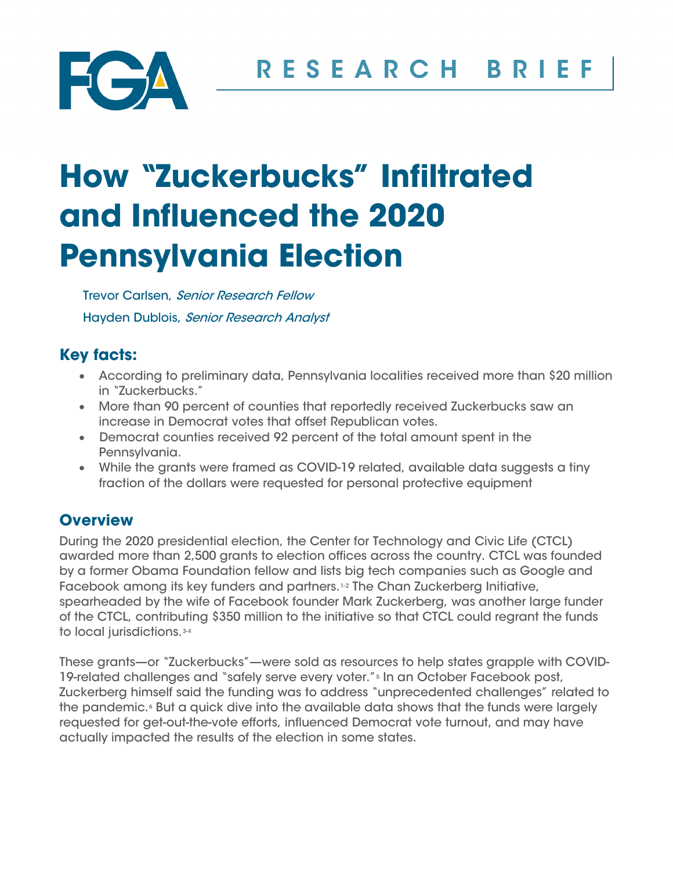

# **How "Zuckerbucks" Infiltrated and Influenced the 2020 Pennsylvania Election**

Trevor Carlsen, Senior Research Fellow Hayden Dublois, Senior Research Analyst

# **Key facts:**

- According to preliminary data, Pennsylvania localities received more than \$20 million in "Zuckerbucks."
- More than 90 percent of counties that reportedly received Zuckerbucks saw an increase in Democrat votes that offset Republican votes.
- Democrat counties received 92 percent of the total amount spent in the Pennsylvania.
- While the grants were framed as COVID-19 related, available data suggests a tiny fraction of the dollars were requested for personal protective equipment

# **Overview**

During the 2020 presidential election, the Center for Technology and Civic Life (CTCL) awarded more than 2,500 grants to election offices across the country. CTCL was founded by a former Obama Foundation fellow and lists big tech companies such as Google and Facebook among its key funders and partners.[1-](#page-4-0)[2](#page-4-1) The Chan Zuckerberg Initiative, spearheaded by the wife of Facebook founder Mark Zuckerberg, was another large funder of the CTCL, contributing \$350 million to the initiative so that CTCL could regrant the funds to local jurisdictions. [3](#page-4-2)-[4](#page-4-3)

These grants—or "Zuckerbucks"—were sold as resources to help states grapple with COVID-19-related challenges and "safely serve every voter."<sup>[5](#page-4-4)</sup> In an October Facebook post, Zuckerberg himself said the funding was to address "unprecedented challenges" related to the pandemic.<sup>[6](#page-4-5)</sup> But a quick dive into the available data shows that the funds were largely requested for get-out-the-vote efforts, influenced Democrat vote turnout, and may have actually impacted the results of the election in some states.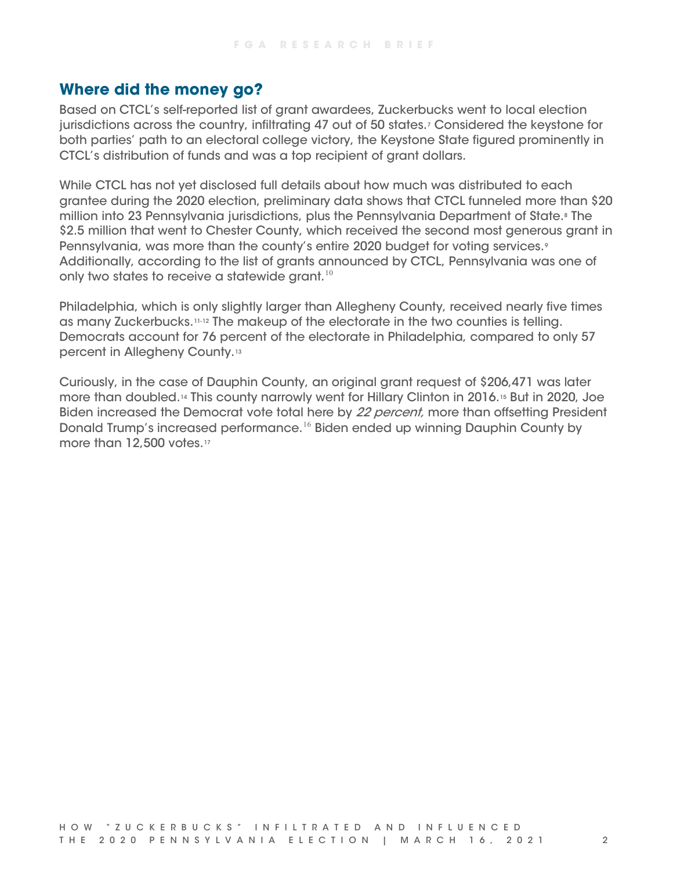## **Where did the money go?**

Based on CTCL's self-reported list of grant awardees, Zuckerbucks went to local election jurisdictions across the country, infiltrating 47 out of 50 states.[7](#page-4-6) Considered the keystone for both parties' path to an electoral college victory, the Keystone State figured prominently in CTCL's distribution of funds and was a top recipient of grant dollars.

While CTCL has not yet disclosed full details about how much was distributed to each grantee during the 2020 election, preliminary data shows that CTCL funneled more than \$20 million into 23 Pennsylvania jurisdictions, plus the Pennsylvania Department of State.<sup>[8](#page-4-7)</sup> The \$2.5 million that went to Chester County, which received the second most generous grant in Pennsylvania, was more than the county's entire 2020 budget for voting services.<sup>[9](#page-5-0)</sup> Additionally, according to the list of grants announced by CTCL, Pennsylvania was one of only two states to receive a statewide grant.<sup>[10](#page-5-1)</sup>

Philadelphia, which is only slightly larger than Allegheny County, received nearly five times as many Zuckerbucks.[11](#page-5-2)-[12](#page-5-3) The makeup of the electorate in the two counties is telling. Democrats account for 76 percent of the electorate in Philadelphia, compared to only 57 percent in Allegheny County.[13](#page-5-4)

Curiously, in the case of Dauphin County, an original grant request of \$206,471 was later more than doubled[.14](#page-5-5) This county narrowly went for Hillary Clinton in 2016.[15](#page-5-6) But in 2020, Joe Biden increased the Democrat vote total here by 22 percent, more than offsetting President Donald Trump's increased performance.<sup>[16](#page-5-7)</sup> Biden ended up winning Dauphin County by more than 12,500 votes.<sup>[17](#page-5-8)</sup>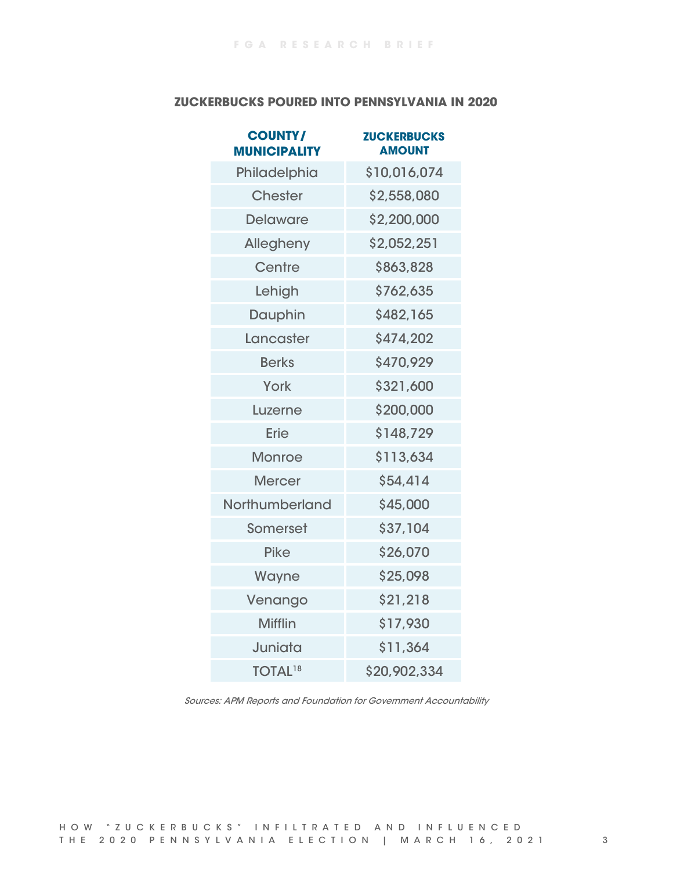#### **ZUCKERBUCKS POURED INTO PENNSYLVANIA IN 2020**

| <b>COUNTY/</b><br><b>MUNICIPALITY</b> | <b>ZUCKERBUCKS</b><br><b>AMOUNT</b> |
|---------------------------------------|-------------------------------------|
| Philadelphia                          | \$10,016,074                        |
| <b>Chester</b>                        | \$2,558,080                         |
| <b>Delaware</b>                       | \$2,200,000                         |
| Allegheny                             | \$2,052,251                         |
| Centre                                | \$863,828                           |
| Lehigh                                | \$762,635                           |
| <b>Dauphin</b>                        | \$482,165                           |
| Lancaster                             | \$474,202                           |
| <b>Berks</b>                          | \$470,929                           |
| York                                  | \$321,600                           |
| Luzerne                               | \$200,000                           |
| Erie                                  | \$148,729                           |
| <b>Monroe</b>                         | \$113,634                           |
| <b>Mercer</b>                         | \$54,414                            |
| Northumberland                        | \$45,000                            |
| <b>Somerset</b>                       | \$37,104                            |
| <b>Pike</b>                           | \$26,070                            |
| Wayne                                 | \$25,098                            |
| Venango                               | \$21,218                            |
| <b>Mifflin</b>                        | \$17,930                            |
| Juniata                               | \$11,364                            |
| <b>TOTAL<sup>18</sup></b>             | \$20,902,334                        |

Sources: APM Reports and Foundation for Government Accountability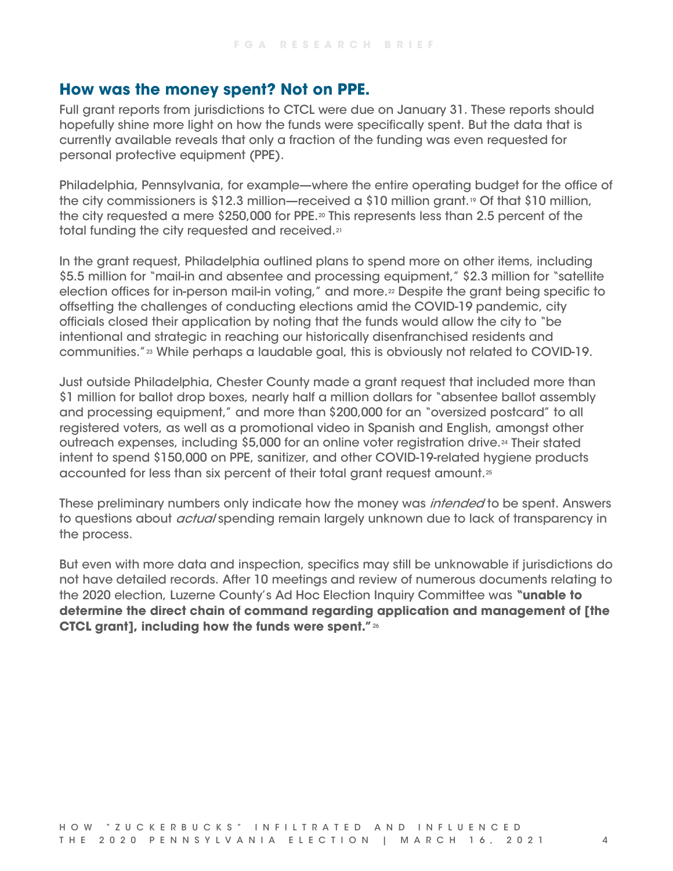## **How was the money spent? Not on PPE.**

Full grant reports from jurisdictions to CTCL were due on January 31. These reports should hopefully shine more light on how the funds were specifically spent. But the data that is currently available reveals that only a fraction of the funding was even requested for personal protective equipment (PPE).

Philadelphia, Pennsylvania, for example—where the entire operating budget for the office of the city commissioners is \$12.3 million—received a \$10 million grant.<sup>19</sup> Of that \$10 million, the city requested a mere \$250,000 for PPE.<sup>[20](#page-5-11)</sup> This represents less than 2.5 percent of the total funding the city requested and received.[21](#page-5-12)

In the grant request, Philadelphia outlined plans to spend more on other items, including \$5.5 million for "mail-in and absentee and processing equipment," \$2.3 million for "satellite election offices for in-person mail-in voting," and more.<sup>[22](#page-5-13)</sup> Despite the grant being specific to offsetting the challenges of conducting elections amid the COVID-19 pandemic, city officials closed their application by noting that the funds would allow the city to "be intentional and strategic in reaching our historically disenfranchised residents and communities."[23](#page-5-14) While perhaps a laudable goal, this is obviously not related to COVID-19.

Just outside Philadelphia, Chester County made a grant request that included more than \$1 million for ballot drop boxes, nearly half a million dollars for "absentee ballot assembly and processing equipment," and more than \$200,000 for an "oversized postcard" to all registered voters, as well as a promotional video in Spanish and English, amongst other outreach expenses, including \$5,000 for an online voter registration drive.<sup>[24](#page-5-15)</sup> Their stated intent to spend \$150,000 on PPE, sanitizer, and other COVID-19-related hygiene products accounted for less than six percent of their total grant request amount.<sup>[25](#page-5-16)</sup>

These preliminary numbers only indicate how the money was *intended* to be spent. Answers to questions about *actual* spending remain largely unknown due to lack of transparency in the process.

But even with more data and inspection, specifics may still be unknowable if jurisdictions do not have detailed records. After 10 meetings and review of numerous documents relating to the 2020 election, Luzerne County's Ad Hoc Election Inquiry Committee was **"unable to determine the direct chain of command regarding application and management of [the CTCL grant], including how the funds were spent."**[26](#page-5-17)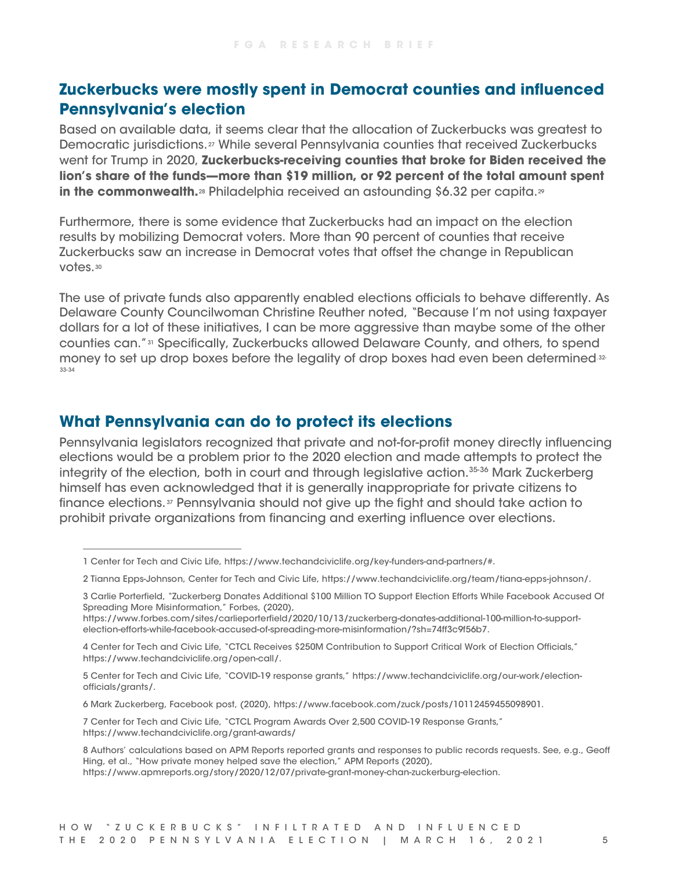## **Zuckerbucks were mostly spent in Democrat counties and influenced Pennsylvania's election**

Based on available data, it seems clear that the allocation of Zuckerbucks was greatest to Democratic jurisdictions.<sup>[27](#page-5-18)</sup> While several Pennsylvania counties that received Zuckerbucks went for Trump in 2020, **Zuckerbucks-receiving counties that broke for Biden received the lion's share of the funds—more than \$19 million, or 92 percent of the total amount spent in the commonwealth.**<sup>[28](#page-5-19)</sup> Philadelphia received an astounding \$6.32 per capita.<sup>[29](#page-5-20)</sup>

Furthermore, there is some evidence that Zuckerbucks had an impact on the election results by mobilizing Democrat voters. More than 90 percent of counties that receive Zuckerbucks saw an increase in Democrat votes that offset the change in Republican votes.[30](#page-5-21)

The use of private funds also apparently enabled elections officials to behave differently. As Delaware County Councilwoman Christine Reuther noted, "Because I'm not using taxpayer dollars for a lot of these initiatives, I can be more aggressive than maybe some of the other counties can."[31](#page-6-0) Specifically, Zuckerbucks allowed Delaware County, and others, to spend money to set up drop boxes before the legality of drop boxes had even been determined.<sup>32</sup>-[33](#page-6-2)-[34](#page-6-3)

## **What Pennsylvania can do to protect its elections**

Pennsylvania legislators recognized that private and not-for-profit money directly influencing elections would be a problem prior to the 2020 election and made attempts to protect the integrity of the election, both in court and through legislative action. [35-](#page-6-4)[36](#page-6-5) Mark Zuckerberg himself has even acknowledged that it is generally inappropriate for private citizens to finance elections. [37](#page-6-6) Pennsylvania should not give up the fight and should take action to prohibit private organizations from financing and exerting influence over elections.

<span id="page-4-6"></span>7 Center for Tech and Civic Life, "CTCL Program Awards Over 2,500 COVID-19 Response Grants," <https://www.techandciviclife.org/grant-awards/>

<span id="page-4-0"></span><sup>1</sup> Center for Tech and Civic Life, [https://www.techandciviclife.org/key-funders-and-partners/#.](https://www.techandciviclife.org/key-funders-and-partners/) 

<span id="page-4-1"></span><sup>2</sup> Tianna Epps-Johnson, Center for Tech and Civic Life, [https://www.techandciviclife.org/team/tiana-epps-johnson/.](https://www.techandciviclife.org/team/tiana-epps-johnson/)

<span id="page-4-2"></span><sup>3</sup> Carlie Porterfield, "Zuckerberg Donates Additional \$100 Million TO Support Election Efforts While Facebook Accused Of Spreading More Misinformation," Forbes, (2020),

[https://www.forbes.com/sites/carlieporterfield/2020/10/13/zuckerberg-donates-additional-100-million-to-support](https://www.forbes.com/sites/carlieporterfield/2020/10/13/zuckerberg-donates-additional-100-million-to-support-election-efforts-while-facebook-accused-of-spreading-more-misinformation/?sh=74ff3c9f56b7)[election-efforts-while-facebook-accused-of-spreading-more-misinformation/?sh=74ff3c9f56b7.](https://www.forbes.com/sites/carlieporterfield/2020/10/13/zuckerberg-donates-additional-100-million-to-support-election-efforts-while-facebook-accused-of-spreading-more-misinformation/?sh=74ff3c9f56b7) 

<span id="page-4-3"></span><sup>4</sup> Center for Tech and Civic Life, "CTCL Receives \$250M Contribution to Support Critical Work of Election Officials," [https://www.techandciviclife.org/open-call/.](https://www.techandciviclife.org/open-call/)

<span id="page-4-4"></span><sup>5</sup> Center for Tech and Civic Life, "COVID-19 response grants," [https://www.techandciviclife.org/our-work/election](https://www.techandciviclife.org/our-work/election-officials/grants/)[officials/grants/.](https://www.techandciviclife.org/our-work/election-officials/grants/)

<span id="page-4-5"></span><sup>6</sup> Mark Zuckerberg, Facebook post, (2020), [https://www.facebook.com/zuck/posts/10112459455098901.](https://www.facebook.com/zuck/posts/10112459455098901)

<span id="page-4-7"></span><sup>8</sup> Authors' calculations based on APM Reports reported grants and responses to public records requests. See, e.g., Geoff Hing, et al., "How private money helped save the election," APM Reports (2020), [https://www.apmreports.org/story/2020/12/07/private-grant-money-chan-zuckerburg-election.](https://www.apmreports.org/story/2020/12/07/private-grant-money-chan-zuckerburg-election)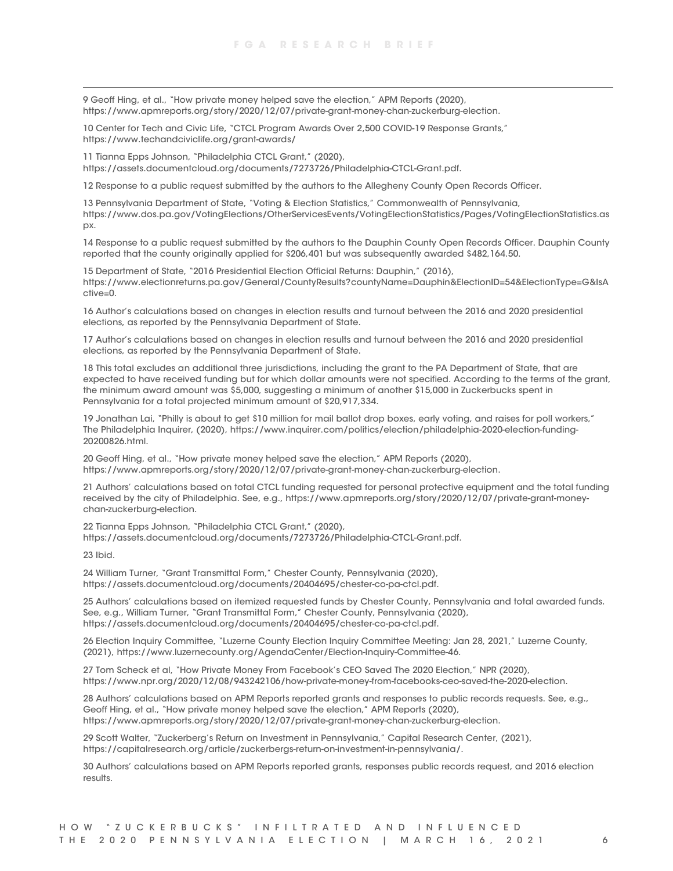<span id="page-5-0"></span>9 Geoff Hing, et al., "How private money helped save the election," APM Reports (2020), [https://www.apmreports.org/story/2020/12/07/private-grant-money-chan-zuckerburg-election.](https://www.apmreports.org/story/2020/12/07/private-grant-money-chan-zuckerburg-election)

<span id="page-5-1"></span>10 Center for Tech and Civic Life, "CTCL Program Awards Over 2,500 COVID-19 Response Grants," <https://www.techandciviclife.org/grant-awards/>

<span id="page-5-2"></span>11 Tianna Epps Johnson, "Philadelphia CTCL Grant," (2020), [https://assets.documentcloud.org/documents/7273726/Philadelphia-CTCL-Grant.pdf.](https://assets.documentcloud.org/documents/7273726/Philadelphia-CTCL-Grant.pdf)

<span id="page-5-3"></span>12 Response to a public request submitted by the authors to the Allegheny County Open Records Officer.

<span id="page-5-4"></span>13 Pennsylvania Department of State, "Voting & Election Statistics," Commonwealth of Pennsylvania, [https://www.dos.pa.gov/VotingElections/OtherServicesEvents/VotingElectionStatistics/Pages/VotingElectionStatistics.as](https://www.dos.pa.gov/VotingElections/OtherServicesEvents/VotingElectionStatistics/Pages/VotingElectionStatistics.aspx) [px.](https://www.dos.pa.gov/VotingElections/OtherServicesEvents/VotingElectionStatistics/Pages/VotingElectionStatistics.aspx) 

<span id="page-5-5"></span>14 Response to a public request submitted by the authors to the Dauphin County Open Records Officer. Dauphin County reported that the county originally applied for \$206,401 but was subsequently awarded \$482,164.50.

<span id="page-5-6"></span>15 Department of State, "2016 Presidential Election Official Returns: Dauphin," (2016), [https://www.electionreturns.pa.gov/General/CountyResults?countyName=Dauphin&ElectionID=54&ElectionType=G&IsA](https://www.electionreturns.pa.gov/General/CountyResults?countyName=Dauphin&ElectionID=54&ElectionType=G&IsActive=0) [ctive=0.](https://www.electionreturns.pa.gov/General/CountyResults?countyName=Dauphin&ElectionID=54&ElectionType=G&IsActive=0)

<span id="page-5-7"></span>16 Author's calculations based on changes in election results and turnout between the 2016 and 2020 presidential elections, as reported by the Pennsylvania Department of State.

<span id="page-5-8"></span>17 Author's calculations based on changes in election results and turnout between the 2016 and 2020 presidential elections, as reported by the Pennsylvania Department of State.

<span id="page-5-9"></span>18 This total excludes an additional three jurisdictions, including the grant to the PA Department of State, that are expected to have received funding but for which dollar amounts were not specified. According to the terms of the grant, the minimum award amount was \$5,000, suggesting a minimum of another \$15,000 in Zuckerbucks spent in Pennsylvania for a total projected minimum amount of \$20,917,334.

<span id="page-5-10"></span>19 Jonathan Lai, "Philly is about to get \$10 million for mail ballot drop boxes, early voting, and raises for poll workers," The Philadelphia Inquirer, (2020)[, https://www.inquirer.com/politics/election/philadelphia-2020-election-funding-](https://www.inquirer.com/politics/election/philadelphia-2020-election-funding-20200826.html)[20200826.html.](https://www.inquirer.com/politics/election/philadelphia-2020-election-funding-20200826.html)

<span id="page-5-11"></span>20 Geoff Hing, et al., "How private money helped save the election," APM Reports (2020), [https://www.apmreports.org/story/2020/12/07/private-grant-money-chan-zuckerburg-election.](https://www.apmreports.org/story/2020/12/07/private-grant-money-chan-zuckerburg-election)

<span id="page-5-12"></span>21 Authors' calculations based on total CTCL funding requested for personal protective equipment and the total funding received by the city of Philadelphia. See, e.g., [https://www.apmreports.org/story/2020/12/07/private-grant-money](https://www.apmreports.org/story/2020/12/07/private-grant-money-chan-zuckerburg-election)[chan-zuckerburg-election.](https://www.apmreports.org/story/2020/12/07/private-grant-money-chan-zuckerburg-election)

<span id="page-5-13"></span>22 Tianna Epps Johnson, "Philadelphia CTCL Grant," (2020), [https://assets.documentcloud.org/documents/7273726/Philadelphia-CTCL-Grant.pdf.](https://assets.documentcloud.org/documents/7273726/Philadelphia-CTCL-Grant.pdf)

<span id="page-5-14"></span>23 Ibid.

<span id="page-5-15"></span>24 William Turner, "Grant Transmittal Form," Chester County, Pennsylvania (2020), [https://assets.documentcloud.org/documents/20404695/chester-co-pa-ctcl.pdf.](https://assets.documentcloud.org/documents/20404695/chester-co-pa-ctcl.pdf)

<span id="page-5-16"></span>25 Authors' calculations based on itemized requested funds by Chester County, Pennsylvania and total awarded funds. See, e.g., William Turner, "Grant Transmittal Form," Chester County, Pennsylvania (2020), [https://assets.documentcloud.org/documents/20404695/chester-co-pa-ctcl.pdf.](https://assets.documentcloud.org/documents/20404695/chester-co-pa-ctcl.pdf)

<span id="page-5-17"></span>26 Election Inquiry Committee, "Luzerne County Election Inquiry Committee Meeting: Jan 28, 2021," Luzerne County, (2021), [https://www.luzernecounty.org/AgendaCenter/Election-Inquiry-Committee-46.](https://www.luzernecounty.org/AgendaCenter/Election-Inquiry-Committee-46) 

<span id="page-5-18"></span>27 Tom Scheck et al, "How Private Money From Facebook's CEO Saved The 2020 Election," NPR (2020), [https://www.npr.org/2020/12/08/943242106/how-private-money-from-facebooks-ceo-saved-the-2020-election.](https://www.npr.org/2020/12/08/943242106/how-private-money-from-facebooks-ceo-saved-the-2020-election) 

<span id="page-5-19"></span>28 Authors' calculations based on APM Reports reported grants and responses to public records requests. See, e.g., Geoff Hing, et al., "How private money helped save the election," APM Reports (2020), [https://www.apmreports.org/story/2020/12/07/private-grant-money-chan-zuckerburg-election.](https://www.apmreports.org/story/2020/12/07/private-grant-money-chan-zuckerburg-election)

<span id="page-5-20"></span>29 Scott Walter, "Zuckerberg's Return on Investment in Pennsylvania," Capital Research Center, (2021), [https://capitalresearch.org/article/zuckerbergs-return-on-investment-in-pennsylvania/.](https://capitalresearch.org/article/zuckerbergs-return-on-investment-in-pennsylvania/) 

<span id="page-5-21"></span>30 Authors' calculations based on APM Reports reported grants, responses public records request, and 2016 election results.